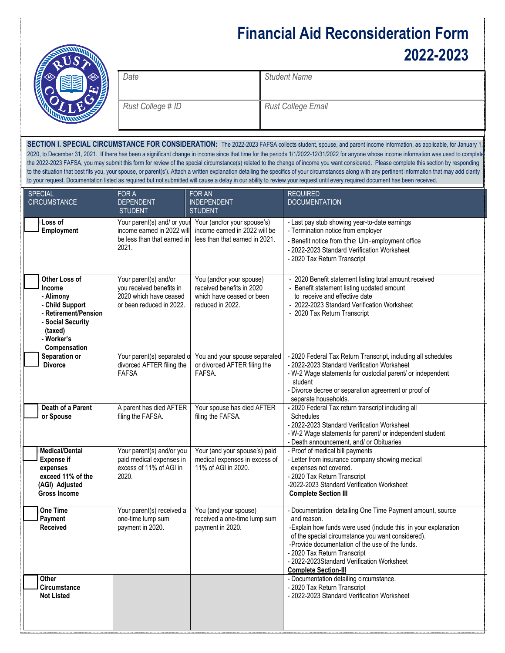## **Financial Aid Reconsideration Form 2022-2023**

| Date              | <b>Student Name</b>       |
|-------------------|---------------------------|
| Rust College # ID | <b>Rust College Email</b> |

SECTION I. SPECIAL CIRCUMSTANCE FOR CONSIDERATION: The 2022-2023 FAFSA collects student, spouse, and parent income information, as applicable, for January 1 2020, to December 31, 2021. If there has been a significant change in income since that time for the periods 1/1/2022-12/31/2022 for anyone whose income information was used to complete the 2022-2023 FAFSA, you may submit this form for review of the special circumstance(s) related to the change of income you want considered. Please complete this section by responding to the situation that best fits you, your spouse, or parent(s'). Attach a written explanation detailing the specifics of your circumstances along with any pertinent information that may add clarity to your request. Documentation listed as required but not submitted will cause a delay in our ability to review your request until every required document has been received.

| <b>SPECIAL</b><br><b>CIRCUMSTANCE</b>                                                                                                         | FOR A<br><b>DEPENDENT</b><br><b>STUDENT</b>                                                             | FOR AN<br><b>INDEPENDENT</b><br><b>STUDENT</b>                                                         |  | <b>REQUIRED</b><br><b>DOCUMENTATION</b>                                                                                                                                                                                                                                                                                                                         |  |
|-----------------------------------------------------------------------------------------------------------------------------------------------|---------------------------------------------------------------------------------------------------------|--------------------------------------------------------------------------------------------------------|--|-----------------------------------------------------------------------------------------------------------------------------------------------------------------------------------------------------------------------------------------------------------------------------------------------------------------------------------------------------------------|--|
| Loss of<br>Employment                                                                                                                         | Your parent(s) and/ or your<br>income earned in 2022 will<br>be less than that earned in<br>2021.       | Your (and/or your spouse's)<br>income earned in 2022 will be<br>less than that earned in 2021.         |  | - Last pay stub showing year-to-date earnings<br>- Termination notice from employer<br>- Benefit notice from the Un-employment office<br>- 2022-2023 Standard Verification Worksheet<br>- 2020 Tax Return Transcript                                                                                                                                            |  |
| Other Loss of<br>Income<br>- Alimony<br>- Child Support<br>- Retirement/Pension<br>- Social Security<br>(taxed)<br>- Worker's<br>Compensation | Your parent(s) and/or<br>you received benefits in<br>2020 which have ceased<br>or been reduced in 2022. | You (and/or your spouse)<br>received benefits in 2020<br>which have ceased or been<br>reduced in 2022. |  | - 2020 Benefit statement listing total amount received<br>- Benefit statement listing updated amount<br>to receive and effective date<br>- 2022-2023 Standard Verification Worksheet<br>- 2020 Tax Return Transcript                                                                                                                                            |  |
| Separation or<br><b>Divorce</b>                                                                                                               | Your parent(s) separated o<br>divorced AFTER filing the<br><b>FAFSA</b>                                 | You and your spouse separated<br>or divorced AFTER filing the<br>FAFSA.                                |  | - 2020 Federal Tax Return Transcript, including all schedules<br>- 2022-2023 Standard Verification Worksheet<br>- W-2 Wage statements for custodial parent/ or independent<br>student<br>- Divorce decree or separation agreement or proof of<br>separate households.                                                                                           |  |
| Death of a Parent<br>or Spouse                                                                                                                | A parent has died AFTER<br>filing the FAFSA.                                                            | Your spouse has died AFTER<br>filing the FAFSA.                                                        |  | - 2020 Federal Tax return transcript including all<br>Schedules<br>- 2022-2023 Standard Verification Worksheet<br>- W-2 Wage statements for parent/ or independent student<br>- Death announcement, and/ or Obituaries                                                                                                                                          |  |
| <b>Medical/Dental</b><br><b>Expense if</b><br>expenses<br>exceed 11% of the<br>(AGI) Adjusted<br><b>Gross Income</b>                          | Your parent(s) and/or you<br>paid medical expenses in<br>excess of 11% of AGI in<br>2020.               | Your (and your spouse's) paid<br>medical expenses in excess of<br>11% of AGI in 2020.                  |  | - Proof of medical bill payments<br>- Letter from insurance company showing medical<br>expenses not covered.<br>- 2020 Tax Return Transcript<br>-2022-2023 Standard Verification Worksheet<br><b>Complete Section III</b>                                                                                                                                       |  |
| One Time<br>Payment<br>Received                                                                                                               | Your parent(s) received a<br>one-time lump sum<br>payment in 2020.                                      | You (and your spouse)<br>received a one-time lump sum<br>payment in 2020.                              |  | - Documentation detailing One Time Payment amount, source<br>and reason.<br>-Explain how funds were used (include this in your explanation<br>of the special circumstance you want considered).<br>-Provide documentation of the use of the funds.<br>- 2020 Tax Return Transcript<br>- 2022-2023Standard Verification Worksheet<br><b>Complete Section-III</b> |  |
| <b>Other</b><br><b>Circumstance</b><br><b>Not Listed</b>                                                                                      |                                                                                                         |                                                                                                        |  | - Documentation detailing circumstance.<br>- 2020 Tax Return Transcript<br>- 2022-2023 Standard Verification Worksheet                                                                                                                                                                                                                                          |  |